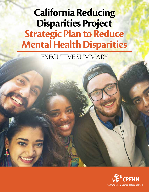# **California Reducing Disparities Project Strategic Plan to Reduce Mental Health Disparities**

EXECUTIVE SUMMARY

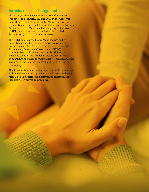### **Introduction and Background**

The *Strategic Plan to Reduce Mental Health Disparities*  was developed between 2012 and 2015 by the California Pan-Ethnic Health Network (CPEHN) with our partners representing diverse populations in California. The *Strategic Plan* is part of the California Reducing Disparities Project (CRDP), which is funded through the Mental Health Services Act (MHSA, or Proposition 63).

The CRDP was launched in 2009 and focuses on five populations, including African Americans; Asians and Pacific Islanders (API); Latinos; Lesbian, Gay, Bisexual, Transgender, Queer, and Questioning (LGBTQ) communities; and Native Americans. In addition, a statewide coalition was funded to advocate for these populations and others, including Arabic-speaking, Russianspeaking, Armenian, and the Deaf and Hard of Hearing community.

The *Strategic Plan* is a community-driven and communityauthored document that provides a roadmap for reducing mental health disparities in unserved, underserved, and inappropriately served communities.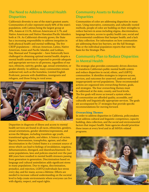## **The Need to Address Mental Health Disparities**

California's diversity is one of the state's greatest assets. Communities of color represent nearly 60% of the state's population, with Latinos being the largest group at 39%, Asians at 13.1%, African Americans at 5.7%, and Native Americans and Native Hawaiian/Pacific Islanders both at 1%. As California's diversity grows, the State has a increasing responsibility to address inequities in both physical health and mental wellbeing. The five CRDP populations – African American, Latino, Native American, Asian and Pacific Islander, and Lesbian, Gay, Bisexual and Transgender – have historically been challenged in obtaining optimal mental health, despite a mental health system that's expected to provide adequate and appropriate services to all persons, regardless of our race, ethnicity, nativity, gender, age, sexual orientation, or gender identity. In addition, many communities remain underserved, such as the homeless, Limited English Proficient, persons with disabilities, immigrants and refugees, and those living in rural areas.



Disparities in diagnosis of illness and access to mental health services are found in all races, ethnicities, genders, sexual orientations, gender identities/expressions, and across the lifespan, including transition-age youth, transitional aging adults, and elders. A history of racism, bigotry, heterosexism, transphobia, ageism, and other discrimination in the United States is a constant source of stress which can lead to feelings of invalidation, negation, dehumanization, disregard, and disenfranchisement. For some populations, laws and policies enacted over the past 400 years have resulted in mental health stressors passing from generation to generation. Discrimination based on language and cultural assimilation adds significant stress in many populations. Due to stigma, discrimination, prejudice, and rejection, LGBTQ individuals face stress every day, and for many, across a lifetime. Efforts are needed to increase cultural understanding on the societal level to help create environments where everyone can live with dignity, respect, and equal rights.

## **Community Assets to Reduce Disparities**

Communities of color are addressing disparities in many ways. Using innovative, community, and culturally-rooted methods, people of color are building on their strengths to reduce barriers in areas including stigma, discrimination, language barriers, access to quality health care, social and environmental conditions that hamper health, and a lack of data collection. For information on how communities are addressing these key barriers, see the full Strategic Plan or the individual population reports that were the basis for the Strategic Plan.

## **Community Plan to Reduce Disparities in Mental Health**

The strategic plan provides community-driven direction to transform California's public mental health system and reduce disparities in racial, ethnic, and LGBTQ communities. It identifies strategies to improve access, services, and outcomes for unserved, underserved, and inappropriately served populations. These recommended actions are organized into overarching themes, goals, and strategies. The four overarching themes must be addressed at the state, county, and local levels. The five goals will move us toward a system where all communities are afforded quality, accessible, and culturally and linguistically appropriate services. The goals are accompanied by 27 strategies that provide specific recommendations for moving forward.

#### **Overarching Themes**

In order to address disparities in California, policymakers must address cultural and linguistic competence, capacity building, data collection, and the social and environmental factors that impact health. State agencies should prioritize these issues at every level and in all MHSA-related programs.

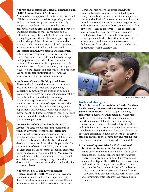A comprehensive approach to cultural, linguistic, and LGBTQ competence is vital for improving mental health in underserved populations. A culturally competent health care system provides care to consumers with diverse values, beliefs, and behaviors, and tailors services to meet consumers' social, cultural, and linguistic needs. Cultural competence is an ongoing process that evolves as we gain experience and knowledge of the cultures and communities around us. Ways to incorporate cultural competency include: improve culturally and linguistically appropriate community outreach and engagement; collaborate with community organizations and Native American tribes that can effectively engage their populations; provide cultural competence staff training; adhere to cultural competency standards; implement cross-cultural competency training that focuses on the intersection of identities; and consider the needs of rural communities, veterans, the homeless, and other special communities.

**• Implement Capacity Building at All Levels:**

The state should build the capacity of community organizations in outreach and engagement, leadership, community participation in decisionmaking, and resource development and sustainability. Capacity building should help community organizations apply for funds, conduct the work, and evaluate the outcomes of disparities reduction initiatives. We must also build the capacity of State departments and agencies, county departments of mental health, and other partners to work better with and understand the needs of local, community, and grassroots organizations.

• **Improve Data Collection Standards at All** 

**Levels:** The state should make improvements to policy and systems to ensure appropriate data collection, disaggregation, analysis, and reporting for all underserved populations at the state, county, and local levels to help identify disparities and develop strategies to address them. In particular, for communities of color and LGBTQ communities, disaggregated data is necessary to identify disparities within subgroups of each population. Measures for race, ethnicity, culture, language preference, sexual orientation, gender identity, and age should be developed for data collection and reported at the State and county levels.

**• Address the Social and Environmental Determinants of Health:** We must address social and environmental factors that impact our daily lives. Education, employment, and income directly influence access to social and economic resources.

Higher incomes relieve the stress of having to decide between seeking services and feeding your family. In addition, the environment also shapes our communities' health. The safer our communities, the more likely we will walk or bike in our neighborhood and socialize with our neighbors. Conversely, the fear of violence—real or perceived—leads to increased isolation, psychological distress, and prolonged elevated stress levels. A comprehensive approach to reducing mental health disparities must take into account social and environmental stressors and find ways to address them so that everyone has the opportunity to lead a healthy life.



Glynnis Jones / Shutterstock.com

#### **Goals and Strategies**

**Goal 1. Increase Access to Mental Health Services for Unserved, Underserved, and Inappropriately Served Populations:** The first step in reducing disparities in mental health is making services more available to those in need. The State and county departments of mental health and their funding mechanisms can increase the availability of services and make it easier for community members to access them by expanding options and locations of services; providing assistance to make it easier to get to services; bringing services to the community; and making sure that those seeking services know where to find them.

**1. Increase Opportunities for Co-Location of Services and Integration:** Locating mental health services in community facilities, faith-based organizations, cultural centers, and other entities where people are comfortable will increase access and combat stigma. The CRDP Partners recommend that funders of existing mental health services – including the Department of Health Care Services (DHCS) and county departments of mental health – coordinate and partner with networks of providers and community entities to improve mental health outcomes.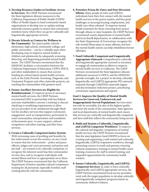- **2. Develop Resource Guides to Facilitate Access to Services:** The CRDP Partners recommend the State legislature allocate resources to the California Department of Public Health (CDPH) Office of Health Equity to fund community-based organizations to develop new or update existing statewide resource guides to ensure that community members know where they can go for culturally and linguistically appropriate services.
- **3. Elevate Schools as Centers for Wellness in the Community:** The state's public schools – elementary, high school, community college, and public universities – can be a valuable asset when developing ways to improve mental health in children and adolescents by adequately screening, detecting, and diagnosing potential mental health issues. The CRDP Partners recommend that the MHSOAC facilitate a conversation between the California Department of Education, CDPH, DHCS, and other stakeholders to ensure that current funding for school-based mental health services, such as the Early Periodic Screening, Diagnosis, and Treatment Program and other statewide projects, are reaching the communities with greatest need.
- **4. Ensure Ancillary Services are Eligible for Reimbursement:** To improve access to necessary mental health services, the CRDP Partners recommend OHE in partnership with key federal and state stakeholders convene a meeting to discuss clarifying or modifying requirements to allow service providers to be reimbursed through Medi-Cal for ancillary services that support community engagement, such as transportation, particularly in rural communities; interpretation and translation of documents; peer- to-peer support; cultural competence and other training; and after-hour services.
- **5. Create a Culturally Competent Justice System:** With increasing cases of profiling and brutality by law enforcement across the country, we see a need to ensure that law enforcement – police and peace officers, judges and court personnel, and prison and jail staff – are trained to be culturally competent, to recognize the inherent racial bias that communities of color face, and to recognize individuals with mental illness and how to appropriately serve them. The CRDP Partners recommend that the California Department of Justice mandate cultural competence training for all personnel, especially frontline staff working directly with the community.
- **6. Prioritize Prison Re-Entry and Post-Diversion Efforts:** Many people of color and LGBTQ individuals have their first contact with the mental health services in the prison system, and face great challenges in securing housing, employment, and health care when released. To improve mental health treatment for those returning from prison through release or state hospitals, the CRDP Partners recommend county departments of mental health and local sheriff departments, in collaboration with the State Department of Corrections, recognize the role mental illness plays in many offenses and how the mental health system can help rehabilitate former offenders.
- **7. Fund Culturally Competent and Linguistically Appropriate Outreach:** Comprehensive culturally and linguistically appropriate outreach is necessary to engage all communities in efforts to improve mental health services in California. The CRDP Partners recommend the State legislature allocate additional resources to DHCS, and the MHSOAC provide oversight, for a project to develop culturally, linguistically, and LGBTQ appropriate PEI outreach materials through CalMHSA's statewide stigma and discrimination reduction project, prioritizing community organizations and experts.

**Goal 2. Improve the Quality of Mental Health Services for Unserved, Underserved, and Inappropriately Served Populations:** Services must not only be accessible, but also of the highest quality and meet the needs of the communities. State agencies and local departments of mental health must ensure that services are culturally and linguistically competent and have staff that reflects the community being served.

- **8. Build and Sustain a Culturally, Linguistically, and LGBTQ Competent Workforce:** To improve the cultural and linguistic competence of mental health services, the CRDP Partners recommend that the state legislature fund OSHPD to focus on creating and supporting a well-trained and culturally, linguistically, LGBTQ-responsive workforce, through promoting careers to youth and parents; ensuring cultural competency training in mental health career training; resources for staff to attend training; and expanded opportunities for community health workers.
- **9. Ensure Culturally, Linguistically, and LGBTQ Competent Services:** In order to have culturally, linguistically, and LGBTQ appropriate services, the CRDP Partners recommend local service providers work with the target population to develop culturally and linguistically competent programs based on community-defined evidence.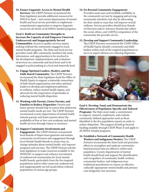**10. Ensure Linguistic Access to Mental Health Services:** The CRDP Partners recommend the State legislature provide additional resources for DHCS to fund – and county departments of mental health and local service providers to implement – comprehensive approaches to improve linguistic access for all clients of all MHSA-funded programs.

**Goal 3. Build on Community Strengths to Increase the Capacity of and Empower Unserved, Underserved, and Inappropriately Served Communities:** Access to quality services means nothing without the community engaged in local mental health programs. The State and local service providers must offer community members the tools, information, and opportunities to be involved in the development, implementation, and evaluation of services on a statewide and local level; and to be engaged in policymaking at a local and statewide level.

- **11. Engage Spiritual Leaders, Healers, and the Faith-Based Community:** The CRDP Partners recommend the State legislature fund the Office of Health Equity to support a statewide consortium of faith-based organizations and other spiritual leaders to develop and implement pathways to wellness, reduce mental health stigma, and advocate for the importance of spirituality in reducing mental health disparities.
- **12. Working with Parents, Foster Parents, and Families to Reduce Disparities:** Parents and foster parents should help to ensure that adolescent mental health needs are met. The CRDP Partners recommend county departments of mental health educate parents and foster parents about the availability of free or low-cost academic and mental health services through classes or seminars.

#### **13. Support Community Involvement and**

**Engagement:** The CRDP Partners recommend local Boards of Supervisors generate and sustain community involvement and engagement through local Mental Health Boards to ensure buy-in, change attitudes about mental health, and improve programs and services. The CRDP Partners ask the state legislature to make resources available to the MHSOAC to support and enhance recruitment of underserved communities for local mental health boards, particularly from the five targeted populations and/or other unserved, underserved, and inappropriately served racial/ethnic/cultural populations of various age groups.

#### **14. Go Beyond Community Engagement:**

Providers must earn and establish credibility in the community not just by engaging and serving community members, but also by advocating for their needs in ways that will improve overall wellness. Service providers should have Boards of Directors and/or Advisory Boards that reflect the racial, ethnic, and LGBTQ composition of the community the provider serves.

## **15. Develop and Support Community Leadership:**

The CRDP Partners recommend the CDPH Office of Health Equity identify community and faith leaders within each of the targeted populations to serve as expert advisors on reducing disparities.



a katz / Shutterstock.c

**Goal 4. Develop, Fund, and Demonstrate the Effectiveness of Population-Specific and Tailored Programs:** The State must make a commitment to support, research, implement, and evaluate community-defined approaches such as those identified in the five population reports in order to reduce disparities. This support should go beyond funding available through CRDP Phase II and apply to all MHSA-funded programs.

**16. Establish a Network of Community Health Workers and Indigenous Healers:** The CRDP Partners recommend the State fund and prioritize efforts to strengthen and replicate communitybased practices that are effective within each population. County departments of mental health should fund and support the identification and recognition of community health workers, community healers, and indigenous/nontraditional practitioners to ensure an effective, culturally-appropriate mental health and primary care integrated care structure.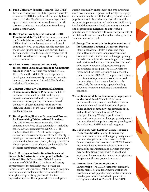**17. Fund Culturally-Specific Research:** The CRDP Partners recommend the State legislature allocate resources to OHE for additional community-based research to identify effective community-defined approaches to sustain and expand mental health services, similar to the work undertaken during Phase I of the CRDP.

**18. Develop Culturally-Specific Mental Health Practice Models:** The CRDP Partners recommend the State legislature provide further resources to OHE to fund the implementation of additional community-level, population-specific practices, like those to be funded and evaluated during Phase II. Particular effort should be made to reach areas of the state not addressed during Phase II, including rural communities.

- **19. Allocate MHSA Prevention and Early Intervention Funding According to Community Need:** The CRDP Partners recommend DHCS, CBHDA, and the MHSOAC work together to develop methods to quantify community need to be used to determine all future MHSA funding, including PEI initiatives.
- 2**0. Conduct Culturally-Congruent Evaluation of Community-Defined Practices:** The CRDP Partners recommend the State and county departments of mental health ensure that they are adequately supporting community-based evaluation of current mental health services, including Phase II of the CRDP and all MHSAfunded programs.
- **21. Develop a Simplified and Streamlined Process for Recognizing Evidence-Based Practices:** The CRDP Partners recommend that OHE convene a task force of key stakeholders, including federal CMS representatives, DHCS, CDPH, the MHSOAC, CBHDA, culturally-congruent evaluators, and community members, to identify or develop a mechanism whereby community-defined practices that have been shown, through the CRDP Phase II process, to be effective can be eligible for Medicaid reimbursement in California.

**Goal 5. Develop and Institutionalize Local and Statewide Infrastructure to Support the Reduction of Mental Health Disparities:** To build on the momentum of CRDP Phase I, the State and county departments of mental health must develop an infrastructure that ensures all MHSA-funded programs incorporate and implement the recommendations, strategies, and promising practices in the five population reports. This support should develop and

sustain community engagement and empowerment structures on a state, regional, and local level; engage community members with knowledge of underserved populations and disparities reduction efforts in the planning, implementation, and evaluation of Phase II; and build the capacity of local community members and organizations indigenous to underserved populations to collaborate with county departments of mental health and advocate for systems change on the local and statewide level.

- **22. Engage Community in the Implementation of the California Reducing Disparities Project:** Many local Mental Health Boards and their committees need more robust representation from unserved, underserved, and inappropriately served communities with knowledge and expertise in disparities reduction – communities that need to be represented in work groups to support the strategies in this plan. The CRDP Partners recommend the State legislature make available resources to the MHSOAC to support and enhance recruitment of representatives of underserved communities on local mental health boards, particularly for community capacity building and comprehensive, multilingual outreach and education.
- **23. Replicate Models for Community Engagement on the Local Level:** The CRDP Partners recommend county mental health departments and county mental health boards develop and utilize existing community engagement models, such as those developed by CRDP Phase I Strategic Planning Workgroups, to involve unserved, underserved, and inappropriately served communities in local policy, program planning, and the evaluation of MHSA-funded programs.

**24. Collaborate with Existing County Reducing Disparities Efforts:** In order to ensure that unserved, underserved, and inappropriately served communities gain equitable access to MHSAfunded programs and services, the CRDP Partners recommend counties work collaboratively with community organizations and partners that they may not traditionally work with to adopt and implement the community-defined strategies from this plan and the five population reports.

#### **25. Develop New Community/County**

**Partnerships:** The CRDP Partners recommend county mental health departments work more closely and develop partnerships with communitybased organizations funded to implement the strategies identified for Phase II of the CRDP.